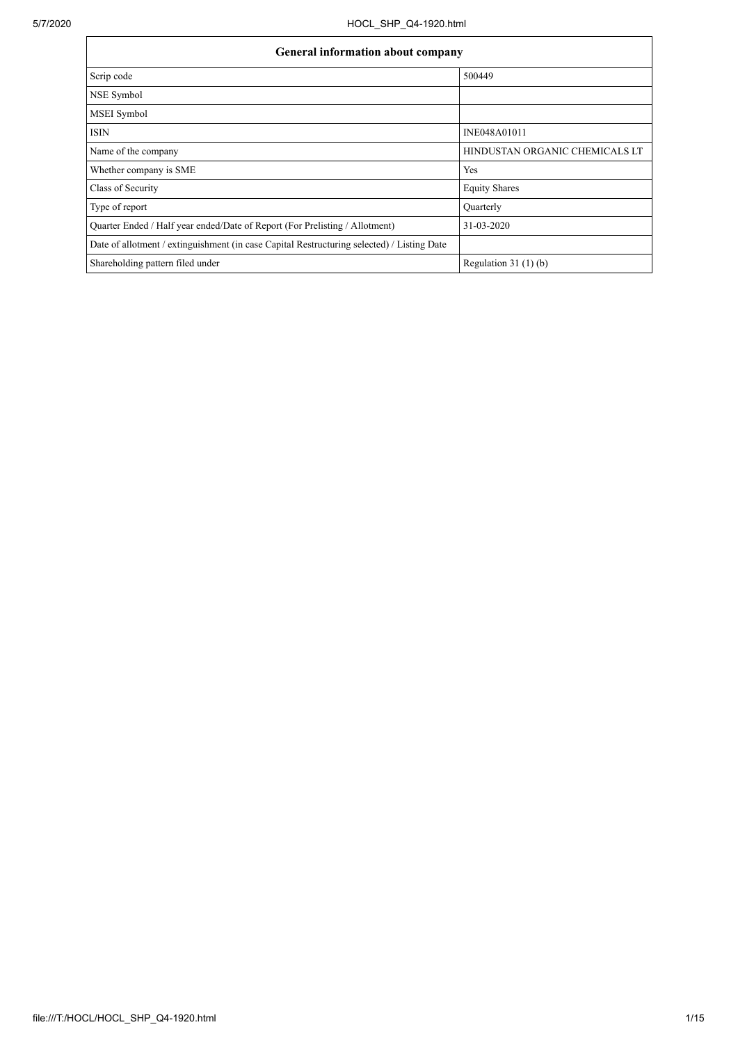| <b>General information about company</b>                                                   |                                |  |  |  |  |  |  |  |  |
|--------------------------------------------------------------------------------------------|--------------------------------|--|--|--|--|--|--|--|--|
| Scrip code                                                                                 | 500449                         |  |  |  |  |  |  |  |  |
| NSE Symbol                                                                                 |                                |  |  |  |  |  |  |  |  |
| <b>MSEI</b> Symbol                                                                         |                                |  |  |  |  |  |  |  |  |
| <b>ISIN</b>                                                                                | INE048A01011                   |  |  |  |  |  |  |  |  |
| Name of the company                                                                        | HINDUSTAN ORGANIC CHEMICALS LT |  |  |  |  |  |  |  |  |
| Whether company is SME                                                                     | Yes                            |  |  |  |  |  |  |  |  |
| Class of Security                                                                          | <b>Equity Shares</b>           |  |  |  |  |  |  |  |  |
| Type of report                                                                             | Quarterly                      |  |  |  |  |  |  |  |  |
| Quarter Ended / Half year ended/Date of Report (For Prelisting / Allotment)                | 31-03-2020                     |  |  |  |  |  |  |  |  |
| Date of allotment / extinguishment (in case Capital Restructuring selected) / Listing Date |                                |  |  |  |  |  |  |  |  |
| Shareholding pattern filed under                                                           | Regulation $31(1)(b)$          |  |  |  |  |  |  |  |  |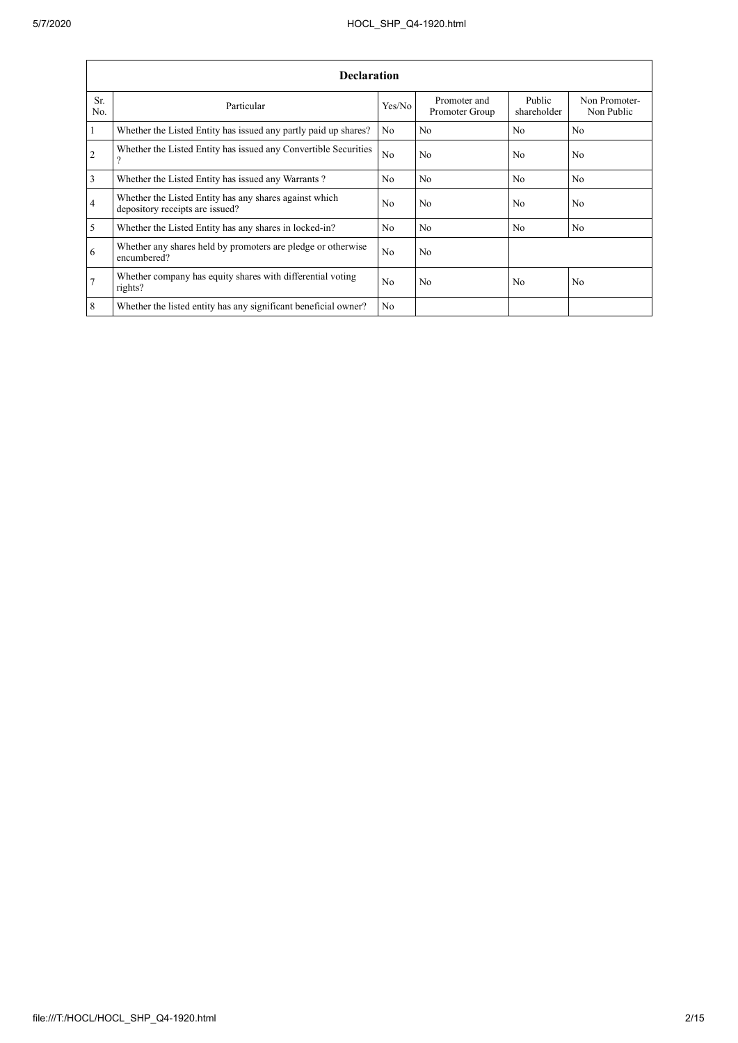.

|                 | <b>Declaration</b>                                                                        |                |                                |                       |                             |  |  |  |  |  |  |
|-----------------|-------------------------------------------------------------------------------------------|----------------|--------------------------------|-----------------------|-----------------------------|--|--|--|--|--|--|
| Sr.<br>No.      | Particular                                                                                | Yes/No         | Promoter and<br>Promoter Group | Public<br>shareholder | Non Promoter-<br>Non Public |  |  |  |  |  |  |
| $\vert$ 1       | Whether the Listed Entity has issued any partly paid up shares?                           | No             | N <sub>0</sub>                 | N <sub>0</sub>        | N <sub>0</sub>              |  |  |  |  |  |  |
| $\overline{2}$  | Whether the Listed Entity has issued any Convertible Securities<br>$\gamma$               | No             | N <sub>0</sub>                 | N <sub>0</sub>        | N <sub>0</sub>              |  |  |  |  |  |  |
| $\overline{3}$  | Whether the Listed Entity has issued any Warrants?                                        | N <sub>0</sub> | No                             | N <sub>o</sub>        | No                          |  |  |  |  |  |  |
| $\overline{4}$  | Whether the Listed Entity has any shares against which<br>depository receipts are issued? | No             | N <sub>0</sub>                 | N <sub>0</sub>        | N <sub>0</sub>              |  |  |  |  |  |  |
| $\overline{5}$  | Whether the Listed Entity has any shares in locked-in?                                    | N <sub>0</sub> | N <sub>0</sub>                 | N <sub>0</sub>        | N <sub>0</sub>              |  |  |  |  |  |  |
| 6               | Whether any shares held by promoters are pledge or otherwise<br>encumbered?               | No             | N <sub>0</sub>                 |                       |                             |  |  |  |  |  |  |
| $\overline{7}$  | Whether company has equity shares with differential voting<br>rights?                     | N <sub>0</sub> | N <sub>0</sub>                 | N <sub>0</sub>        | N <sub>0</sub>              |  |  |  |  |  |  |
| $8\phantom{.}8$ | Whether the listed entity has any significant beneficial owner?                           | N <sub>0</sub> |                                |                       |                             |  |  |  |  |  |  |

÷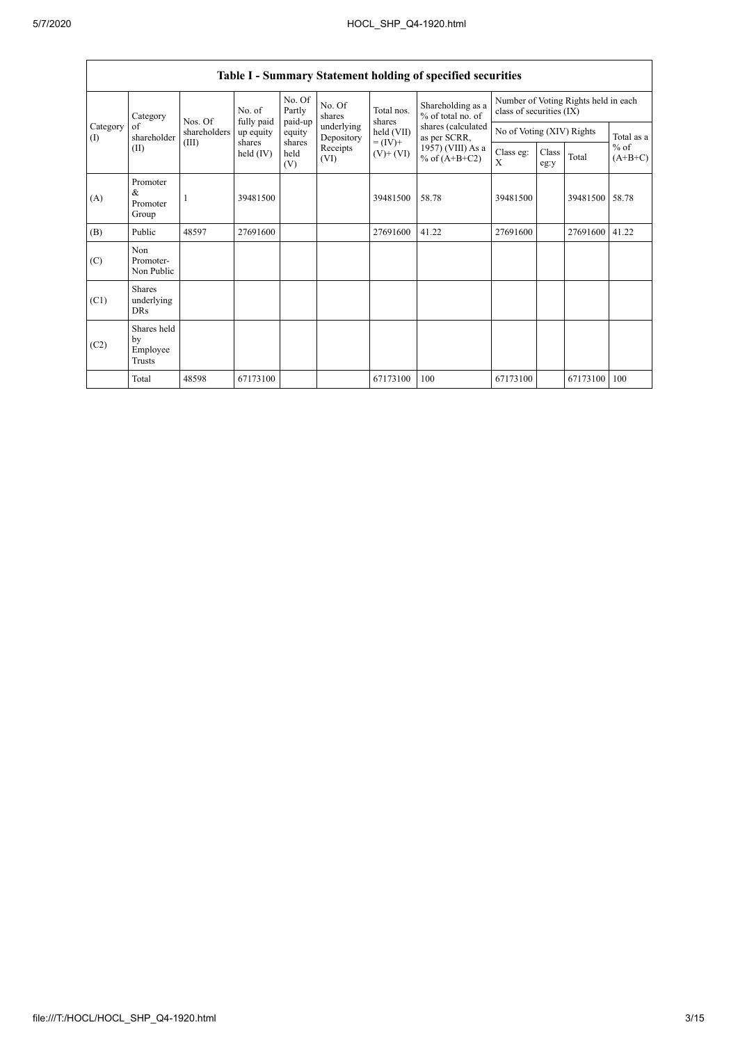| Table I - Summary Statement holding of specified securities |                                           |              |                         |                       |                          |                                                                    |                                                                                                                      |                                                                  |               |          |                                   |
|-------------------------------------------------------------|-------------------------------------------|--------------|-------------------------|-----------------------|--------------------------|--------------------------------------------------------------------|----------------------------------------------------------------------------------------------------------------------|------------------------------------------------------------------|---------------|----------|-----------------------------------|
|                                                             | Category                                  | Nos. Of      | No. of                  | No. Of<br>Partly      | No. Of<br>shares         | Total nos.<br>shares<br>held (VII)<br>$= (IV) +$<br>$(V)$ + $(VI)$ | Shareholding as a<br>% of total no. of<br>shares (calculated<br>as per SCRR,<br>1957) (VIII) As a<br>% of $(A+B+C2)$ | Number of Voting Rights held in each<br>class of securities (IX) |               |          |                                   |
| Category<br>(1)                                             | of<br>shareholder                         | shareholders | fully paid<br>up equity | paid-up<br>equity     | underlying<br>Depository |                                                                    |                                                                                                                      | No of Voting (XIV) Rights                                        |               |          | Total as a<br>$%$ of<br>$(A+B+C)$ |
|                                                             | (II)                                      | (III)        | shares<br>held (IV)     | shares<br>held<br>(V) | Receipts<br>(VI)         |                                                                    |                                                                                                                      | Class eg:<br>X                                                   | Class<br>eg:y | Total    |                                   |
| (A)                                                         | Promoter<br>$\&$<br>Promoter<br>Group     |              | 39481500                |                       |                          | 39481500                                                           | 58.78                                                                                                                | 39481500                                                         |               | 39481500 | 58.78                             |
| (B)                                                         | Public                                    | 48597        | 27691600                |                       |                          | 27691600                                                           | 41.22                                                                                                                | 27691600                                                         |               | 27691600 | 41.22                             |
| (C)                                                         | Non<br>Promoter-<br>Non Public            |              |                         |                       |                          |                                                                    |                                                                                                                      |                                                                  |               |          |                                   |
| (C1)                                                        | <b>Shares</b><br>underlying<br><b>DRs</b> |              |                         |                       |                          |                                                                    |                                                                                                                      |                                                                  |               |          |                                   |
| (C2)                                                        | Shares held<br>by<br>Employee<br>Trusts   |              |                         |                       |                          |                                                                    |                                                                                                                      |                                                                  |               |          |                                   |
|                                                             | Total                                     | 48598        | 67173100                |                       |                          | 67173100                                                           | 100                                                                                                                  | 67173100                                                         |               | 67173100 | 100                               |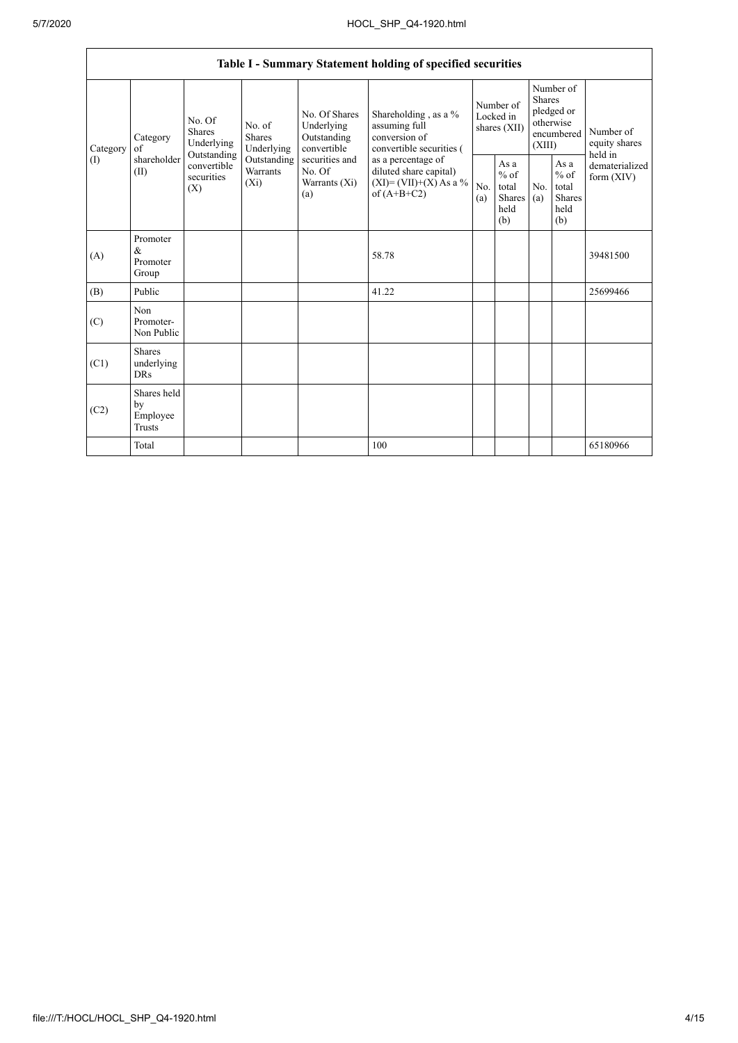$\mathbf{r}$ 

|                          |                                                |                                                                                                                                |                                |                                                           | Table I - Summary Statement holding of specified securities                                                                                                                      |                                        |                                                  |                                                                               |                                                         |                                       |
|--------------------------|------------------------------------------------|--------------------------------------------------------------------------------------------------------------------------------|--------------------------------|-----------------------------------------------------------|----------------------------------------------------------------------------------------------------------------------------------------------------------------------------------|----------------------------------------|--------------------------------------------------|-------------------------------------------------------------------------------|---------------------------------------------------------|---------------------------------------|
| Category<br>$($ $\Gamma$ | Category<br>of<br>shareholder<br>(II)          | No. Of<br>No. of<br><b>Shares</b><br><b>Shares</b><br>Underlying<br>Outstanding<br>convertible<br>securities<br>$(X_i)$<br>(X) | Underlying                     | No. Of Shares<br>Underlying<br>Outstanding<br>convertible | Shareholding, as a %<br>assuming full<br>conversion of<br>convertible securities (<br>as a percentage of<br>diluted share capital)<br>$(XI) = (VII)+(X) As a %$<br>of $(A+B+C2)$ | Number of<br>Locked in<br>shares (XII) |                                                  | Number of<br><b>Shares</b><br>pledged or<br>otherwise<br>encumbered<br>(XIII) |                                                         | Number of<br>equity shares<br>held in |
|                          |                                                |                                                                                                                                | Outstanding<br><b>Warrants</b> | securities and<br>No. Of<br>Warrants (Xi)<br>(a)          |                                                                                                                                                                                  | No.<br>(a)                             | As a<br>$%$ of<br>total<br>Shares<br>held<br>(b) | No.<br>(a)                                                                    | As a<br>$%$ of<br>total<br><b>Shares</b><br>held<br>(b) | dematerialized<br>form $(XIV)$        |
| (A)                      | Promoter<br>$\&$<br>Promoter<br>Group          |                                                                                                                                |                                |                                                           | 58.78                                                                                                                                                                            |                                        |                                                  |                                                                               |                                                         | 39481500                              |
| (B)                      | Public                                         |                                                                                                                                |                                |                                                           | 41.22                                                                                                                                                                            |                                        |                                                  |                                                                               |                                                         | 25699466                              |
| (C)                      | Non<br>Promoter-<br>Non Public                 |                                                                                                                                |                                |                                                           |                                                                                                                                                                                  |                                        |                                                  |                                                                               |                                                         |                                       |
| (C1)                     | <b>Shares</b><br>underlying<br><b>DRs</b>      |                                                                                                                                |                                |                                                           |                                                                                                                                                                                  |                                        |                                                  |                                                                               |                                                         |                                       |
| (C2)                     | Shares held<br>by<br>Employee<br><b>Trusts</b> |                                                                                                                                |                                |                                                           |                                                                                                                                                                                  |                                        |                                                  |                                                                               |                                                         |                                       |
|                          | Total                                          |                                                                                                                                |                                |                                                           | 100                                                                                                                                                                              |                                        |                                                  |                                                                               |                                                         | 65180966                              |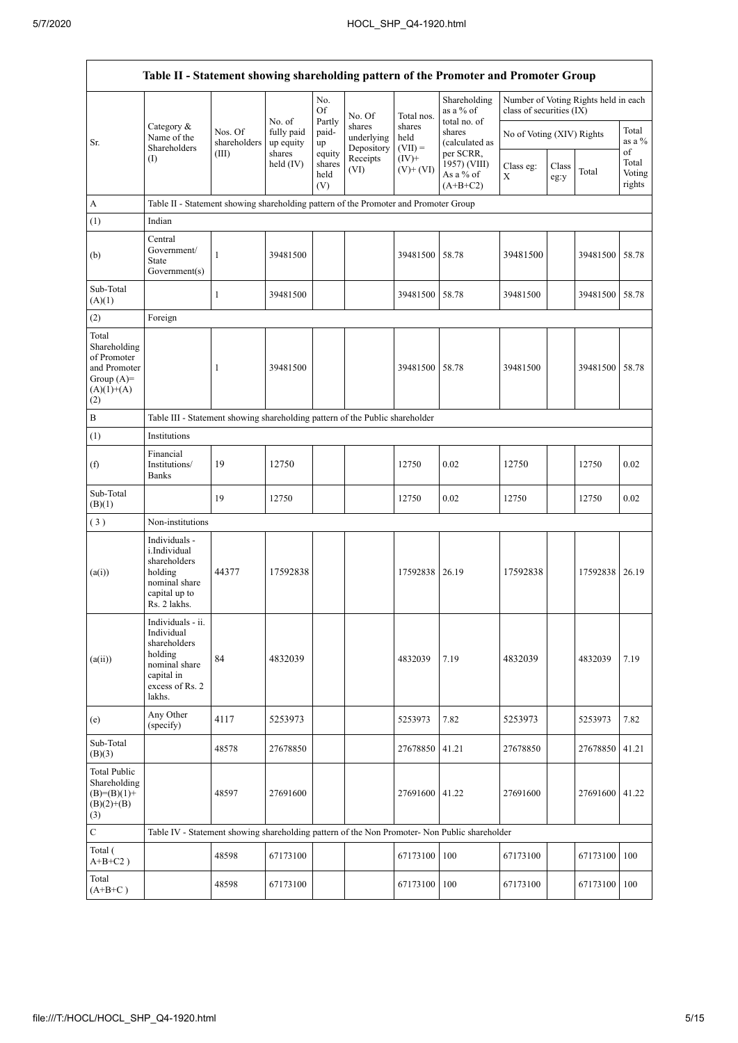$\mathsf{r}$ 

| Table II - Statement showing shareholding pattern of the Promoter and Promoter Group        |                                                                                                                        |                         |                                   |                                 |                                    |                             |                                                       |                                                                  |               |                |                           |
|---------------------------------------------------------------------------------------------|------------------------------------------------------------------------------------------------------------------------|-------------------------|-----------------------------------|---------------------------------|------------------------------------|-----------------------------|-------------------------------------------------------|------------------------------------------------------------------|---------------|----------------|---------------------------|
|                                                                                             |                                                                                                                        |                         |                                   | No.<br>Of                       | No. Of                             | Total nos.                  | Shareholding<br>as a % of                             | Number of Voting Rights held in each<br>class of securities (IX) |               |                |                           |
| Sr.                                                                                         | Category $\&$<br>Name of the<br>Shareholders                                                                           | Nos. Of<br>shareholders | No. of<br>fully paid<br>up equity | Partly<br>paid-<br>up           | shares<br>underlying<br>Depository | shares<br>held<br>$(VII) =$ | total no. of<br>shares<br>(calculated as<br>per SCRR, | No of Voting (XIV) Rights                                        |               |                | Total<br>as a %<br>of     |
|                                                                                             | $\rm(D)$                                                                                                               | (III)                   | shares<br>held (IV)               | equity<br>shares<br>held<br>(V) | Receipts<br>(VI)                   | $(IV)$ +<br>$(V)+(VI)$      | 1957) (VIII)<br>As a % of<br>$(A+B+C2)$               | Class eg:<br>X                                                   | Class<br>eg:y | Total          | Total<br>Voting<br>rights |
| $\boldsymbol{\rm{A}}$                                                                       | Table II - Statement showing shareholding pattern of the Promoter and Promoter Group                                   |                         |                                   |                                 |                                    |                             |                                                       |                                                                  |               |                |                           |
| (1)                                                                                         | Indian                                                                                                                 |                         |                                   |                                 |                                    |                             |                                                       |                                                                  |               |                |                           |
| (b)                                                                                         | Central<br>Government/<br><b>State</b><br>Government(s)                                                                | $\mathbf{1}$            | 39481500                          |                                 |                                    | 39481500 58.78              |                                                       | 39481500                                                         |               | 39481500 58.78 |                           |
| Sub-Total<br>(A)(1)                                                                         |                                                                                                                        | 1                       | 39481500                          |                                 |                                    | 39481500 58.78              |                                                       | 39481500                                                         |               | 39481500 58.78 |                           |
| (2)                                                                                         | Foreign                                                                                                                |                         |                                   |                                 |                                    |                             |                                                       |                                                                  |               |                |                           |
| Total<br>Shareholding<br>of Promoter<br>and Promoter<br>Group $(A)=$<br>$(A)(1)+(A)$<br>(2) |                                                                                                                        | 1                       | 39481500                          |                                 |                                    | 39481500 58.78              |                                                       | 39481500                                                         |               | 39481500       | 58.78                     |
| $\, {\bf B}$                                                                                | Table III - Statement showing shareholding pattern of the Public shareholder                                           |                         |                                   |                                 |                                    |                             |                                                       |                                                                  |               |                |                           |
| (1)                                                                                         | Institutions                                                                                                           |                         |                                   |                                 |                                    |                             |                                                       |                                                                  |               |                |                           |
| (f)                                                                                         | Financial<br>Institutions/<br><b>Banks</b>                                                                             | 19                      | 12750                             |                                 |                                    | 12750                       | 0.02                                                  | 12750                                                            |               | 12750          | 0.02                      |
| Sub-Total<br>(B)(1)                                                                         |                                                                                                                        | 19                      | 12750                             |                                 |                                    | 12750                       | 0.02                                                  | 12750                                                            |               | 12750          | 0.02                      |
| (3)                                                                                         | Non-institutions                                                                                                       |                         |                                   |                                 |                                    |                             |                                                       |                                                                  |               |                |                           |
| (a(i))                                                                                      | Individuals -<br>i.Individual<br>shareholders<br>holding<br>nominal share<br>capital up to<br>Rs. 2 lakhs.             | 44377                   | 17592838                          |                                 |                                    | 17592838 26.19              |                                                       | 17592838                                                         |               | 17592838 26.19 |                           |
| (a(ii))                                                                                     | Individuals - ii.<br>Individual<br>shareholders<br>holding<br>nominal share<br>capital in<br>excess of Rs. 2<br>lakhs. | 84                      | 4832039                           |                                 |                                    | 4832039                     | 7.19                                                  | 4832039                                                          |               | 4832039        | 7.19                      |
| (e)                                                                                         | Any Other<br>(specify)                                                                                                 | 4117                    | 5253973                           |                                 |                                    | 5253973                     | 7.82                                                  | 5253973                                                          |               | 5253973        | 7.82                      |
| Sub-Total<br>(B)(3)                                                                         |                                                                                                                        | 48578                   | 27678850                          |                                 |                                    | 27678850                    | 41.21                                                 | 27678850                                                         |               | 27678850       | 41.21                     |
| <b>Total Public</b><br>Shareholding<br>$(B)=(B)(1)+$<br>$(B)(2)+(B)$<br>(3)                 |                                                                                                                        | 48597                   | 27691600                          |                                 |                                    | 27691600                    | 41.22                                                 | 27691600                                                         |               | 27691600 41.22 |                           |
| $\mathbf C$                                                                                 | Table IV - Statement showing shareholding pattern of the Non Promoter- Non Public shareholder                          |                         |                                   |                                 |                                    |                             |                                                       |                                                                  |               |                |                           |
| Total (<br>$A+B+C2$ )                                                                       |                                                                                                                        | 48598                   | 67173100                          |                                 |                                    | 67173100                    | 100                                                   | 67173100                                                         |               | 67173100       | 100                       |
| Total<br>$(A+B+C)$                                                                          |                                                                                                                        | 48598                   | 67173100                          |                                 |                                    | 67173100                    | 100                                                   | 67173100                                                         |               | 67173100       | 100                       |

 $\overline{\phantom{a}}$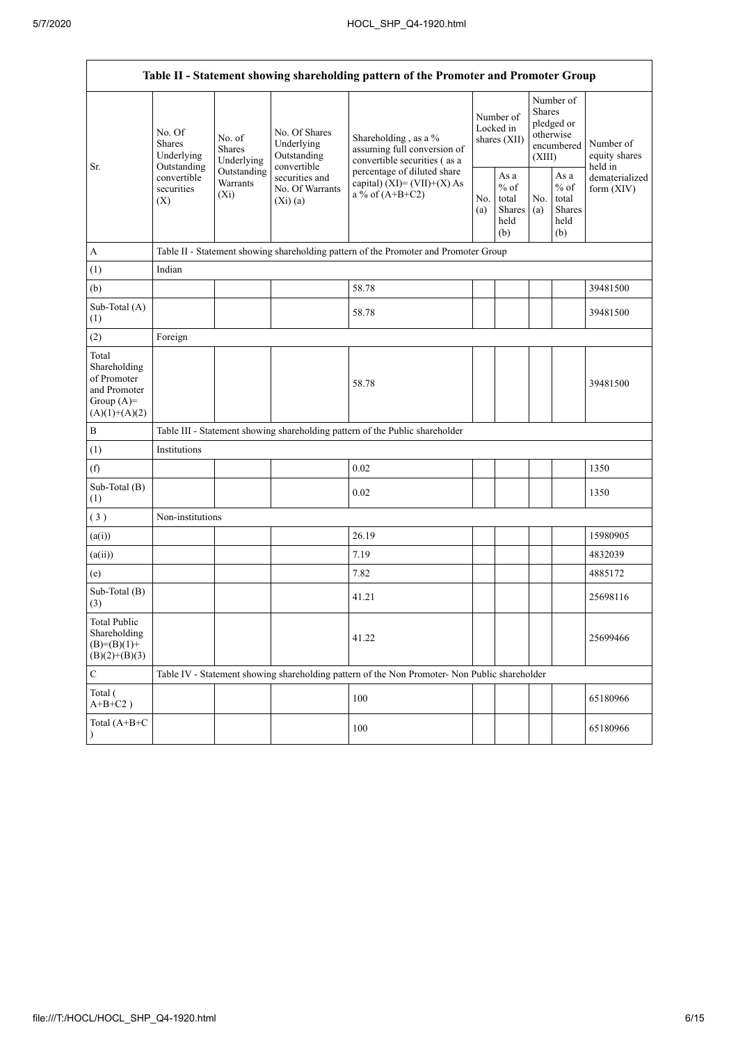|                                                                                         |                                                                                                                                            |             |                                                             | Table II - Statement showing shareholding pattern of the Promoter and Promoter Group                                                                                      |  |                                                  |            |                                                                        |                                       |
|-----------------------------------------------------------------------------------------|--------------------------------------------------------------------------------------------------------------------------------------------|-------------|-------------------------------------------------------------|---------------------------------------------------------------------------------------------------------------------------------------------------------------------------|--|--------------------------------------------------|------------|------------------------------------------------------------------------|---------------------------------------|
| Sr.                                                                                     | No. Of<br>No. of<br><b>Shares</b><br><b>Shares</b><br>Underlying<br>Outstanding<br>convertible<br>Warrants<br>securities<br>$(X_i)$<br>(X) | Underlying  | No. Of Shares<br>Underlying<br>Outstanding                  | Shareholding, as a %<br>assuming full conversion of<br>convertible securities (as a<br>percentage of diluted share<br>capital) $(XI) = (VII)+(X) As$<br>a % of $(A+B+C2)$ |  | Number of<br>Locked in<br>shares (XII)           |            | Number of<br>Shares<br>pledged or<br>otherwise<br>encumbered<br>(XIII) | Number of<br>equity shares<br>held in |
|                                                                                         |                                                                                                                                            | Outstanding | convertible<br>securities and<br>No. Of Warrants<br>(Xi)(a) |                                                                                                                                                                           |  | As a<br>$%$ of<br>total<br>Shares<br>held<br>(b) | No.<br>(a) | As a<br>$%$ of<br>total<br><b>Shares</b><br>held<br>(b)                | dematerialized<br>form (XIV)          |
| A                                                                                       |                                                                                                                                            |             |                                                             | Table II - Statement showing shareholding pattern of the Promoter and Promoter Group                                                                                      |  |                                                  |            |                                                                        |                                       |
| (1)                                                                                     | Indian                                                                                                                                     |             |                                                             |                                                                                                                                                                           |  |                                                  |            |                                                                        |                                       |
| (b)                                                                                     |                                                                                                                                            |             |                                                             | 58.78                                                                                                                                                                     |  |                                                  |            |                                                                        | 39481500                              |
| Sub-Total (A)<br>(1)                                                                    |                                                                                                                                            |             |                                                             | 58.78                                                                                                                                                                     |  |                                                  |            |                                                                        | 39481500                              |
| (2)                                                                                     | Foreign                                                                                                                                    |             |                                                             |                                                                                                                                                                           |  |                                                  |            |                                                                        |                                       |
| Total<br>Shareholding<br>of Promoter<br>and Promoter<br>Group $(A)=$<br>$(A)(1)+(A)(2)$ |                                                                                                                                            |             |                                                             | 58.78                                                                                                                                                                     |  |                                                  |            |                                                                        | 39481500                              |
| $\, {\bf B}$                                                                            |                                                                                                                                            |             |                                                             | Table III - Statement showing shareholding pattern of the Public shareholder                                                                                              |  |                                                  |            |                                                                        |                                       |
| (1)                                                                                     | Institutions                                                                                                                               |             |                                                             |                                                                                                                                                                           |  |                                                  |            |                                                                        |                                       |
| (f)                                                                                     |                                                                                                                                            |             |                                                             | 0.02                                                                                                                                                                      |  |                                                  |            |                                                                        | 1350                                  |
| Sub-Total (B)<br>(1)                                                                    |                                                                                                                                            |             |                                                             | 0.02                                                                                                                                                                      |  |                                                  |            |                                                                        | 1350                                  |
| (3)                                                                                     | Non-institutions                                                                                                                           |             |                                                             |                                                                                                                                                                           |  |                                                  |            |                                                                        |                                       |
| (a(i))                                                                                  |                                                                                                                                            |             |                                                             | 26.19                                                                                                                                                                     |  |                                                  |            |                                                                        | 15980905                              |
| (a(ii))                                                                                 |                                                                                                                                            |             |                                                             | 7.19                                                                                                                                                                      |  |                                                  |            |                                                                        | 4832039                               |
| (e)                                                                                     |                                                                                                                                            |             |                                                             | 7.82                                                                                                                                                                      |  |                                                  |            |                                                                        | 4885172                               |
| Sub-Total (B)<br>(3)                                                                    |                                                                                                                                            |             |                                                             | 41.21                                                                                                                                                                     |  |                                                  |            |                                                                        | 25698116                              |
| <b>Total Public</b><br>Shareholding<br>$(B)= (B)(1) +$<br>$(B)(2)+(B)(3)$               |                                                                                                                                            |             |                                                             | 41.22                                                                                                                                                                     |  |                                                  |            |                                                                        | 25699466                              |
| $\mathbf C$                                                                             |                                                                                                                                            |             |                                                             | Table IV - Statement showing shareholding pattern of the Non Promoter- Non Public shareholder                                                                             |  |                                                  |            |                                                                        |                                       |
| Total (<br>$A+B+C2$ )                                                                   |                                                                                                                                            |             |                                                             | 100                                                                                                                                                                       |  |                                                  |            |                                                                        | 65180966                              |
| Total (A+B+C                                                                            |                                                                                                                                            |             |                                                             | 100                                                                                                                                                                       |  |                                                  |            |                                                                        | 65180966                              |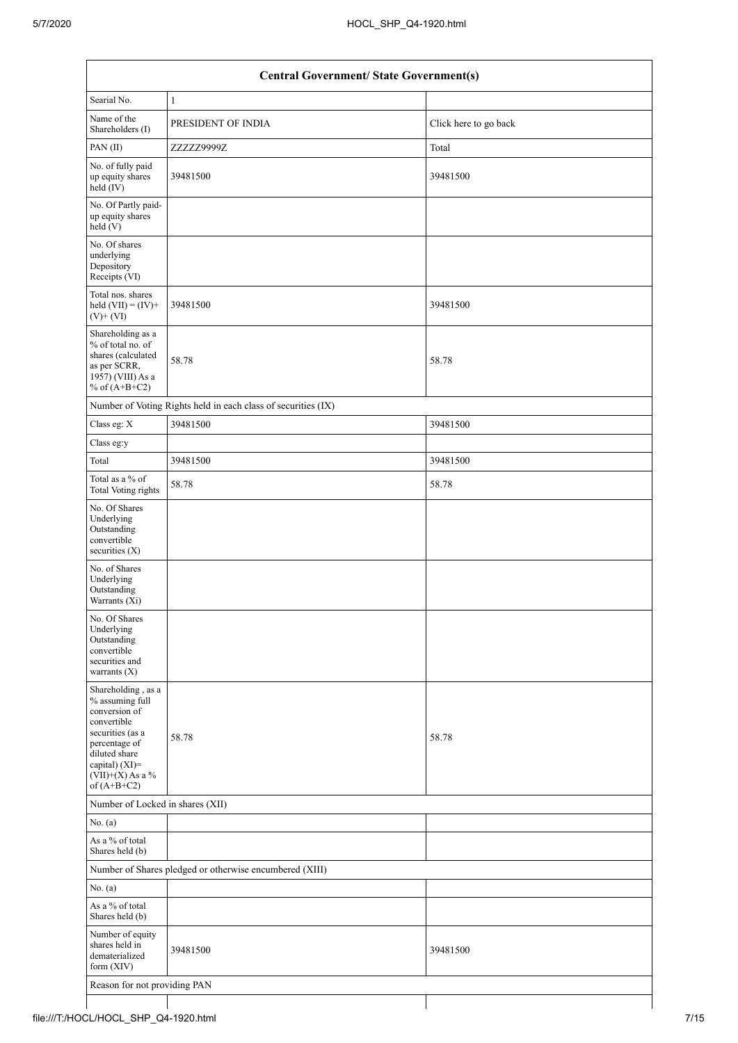|                                                                                                                                                                                      | <b>Central Government/ State Government(s)</b>                |                       |  |  |  |  |  |  |  |
|--------------------------------------------------------------------------------------------------------------------------------------------------------------------------------------|---------------------------------------------------------------|-----------------------|--|--|--|--|--|--|--|
| Searial No.                                                                                                                                                                          | $\mathbf{1}$                                                  |                       |  |  |  |  |  |  |  |
| Name of the<br>Shareholders (I)                                                                                                                                                      | PRESIDENT OF INDIA                                            | Click here to go back |  |  |  |  |  |  |  |
| PAN(II)                                                                                                                                                                              | ZZZZZ9999Z                                                    | Total                 |  |  |  |  |  |  |  |
| No. of fully paid<br>up equity shares<br>held (IV)                                                                                                                                   | 39481500                                                      | 39481500              |  |  |  |  |  |  |  |
| No. Of Partly paid-<br>up equity shares<br>held(V)                                                                                                                                   |                                                               |                       |  |  |  |  |  |  |  |
| No. Of shares<br>underlying<br>Depository<br>Receipts (VI)                                                                                                                           |                                                               |                       |  |  |  |  |  |  |  |
| Total nos. shares<br>held $(VII) = (IV) +$<br>$(V)$ + $(VI)$                                                                                                                         | 39481500                                                      | 39481500              |  |  |  |  |  |  |  |
| Shareholding as a<br>% of total no. of<br>shares (calculated<br>as per SCRR,<br>1957) (VIII) As a<br>% of $(A+B+C2)$                                                                 | 58.78                                                         | 58.78                 |  |  |  |  |  |  |  |
|                                                                                                                                                                                      | Number of Voting Rights held in each class of securities (IX) |                       |  |  |  |  |  |  |  |
| Class eg: X                                                                                                                                                                          | 39481500                                                      | 39481500              |  |  |  |  |  |  |  |
| Class eg:y                                                                                                                                                                           |                                                               |                       |  |  |  |  |  |  |  |
| Total                                                                                                                                                                                | 39481500                                                      | 39481500              |  |  |  |  |  |  |  |
| Total as a % of<br><b>Total Voting rights</b>                                                                                                                                        | 58.78                                                         | 58.78                 |  |  |  |  |  |  |  |
| No. Of Shares<br>Underlying<br>Outstanding<br>convertible<br>securities $(X)$                                                                                                        |                                                               |                       |  |  |  |  |  |  |  |
| No. of Shares<br>Underlying<br>Outstanding<br>Warrants (Xi)                                                                                                                          |                                                               |                       |  |  |  |  |  |  |  |
| No. Of Shares<br>Underlying<br>Outstanding<br>convertible<br>securities and<br>warrants $(X)$                                                                                        |                                                               |                       |  |  |  |  |  |  |  |
| Shareholding, as a<br>% assuming full<br>conversion of<br>convertible<br>securities (as a<br>percentage of<br>diluted share<br>capital) (XI)=<br>$(VII)+(X)$ As a %<br>of $(A+B+C2)$ | 58.78                                                         | 58.78                 |  |  |  |  |  |  |  |
| Number of Locked in shares (XII)                                                                                                                                                     |                                                               |                       |  |  |  |  |  |  |  |
| No. (a)                                                                                                                                                                              |                                                               |                       |  |  |  |  |  |  |  |
| As a % of total<br>Shares held (b)                                                                                                                                                   |                                                               |                       |  |  |  |  |  |  |  |
|                                                                                                                                                                                      | Number of Shares pledged or otherwise encumbered (XIII)       |                       |  |  |  |  |  |  |  |
| No. (a)                                                                                                                                                                              |                                                               |                       |  |  |  |  |  |  |  |
| As a % of total<br>Shares held (b)                                                                                                                                                   |                                                               |                       |  |  |  |  |  |  |  |
| Number of equity<br>shares held in<br>dematerialized<br>form $(XIV)$                                                                                                                 | 39481500                                                      | 39481500              |  |  |  |  |  |  |  |
|                                                                                                                                                                                      | Reason for not providing PAN                                  |                       |  |  |  |  |  |  |  |

 $\mathbf{I}$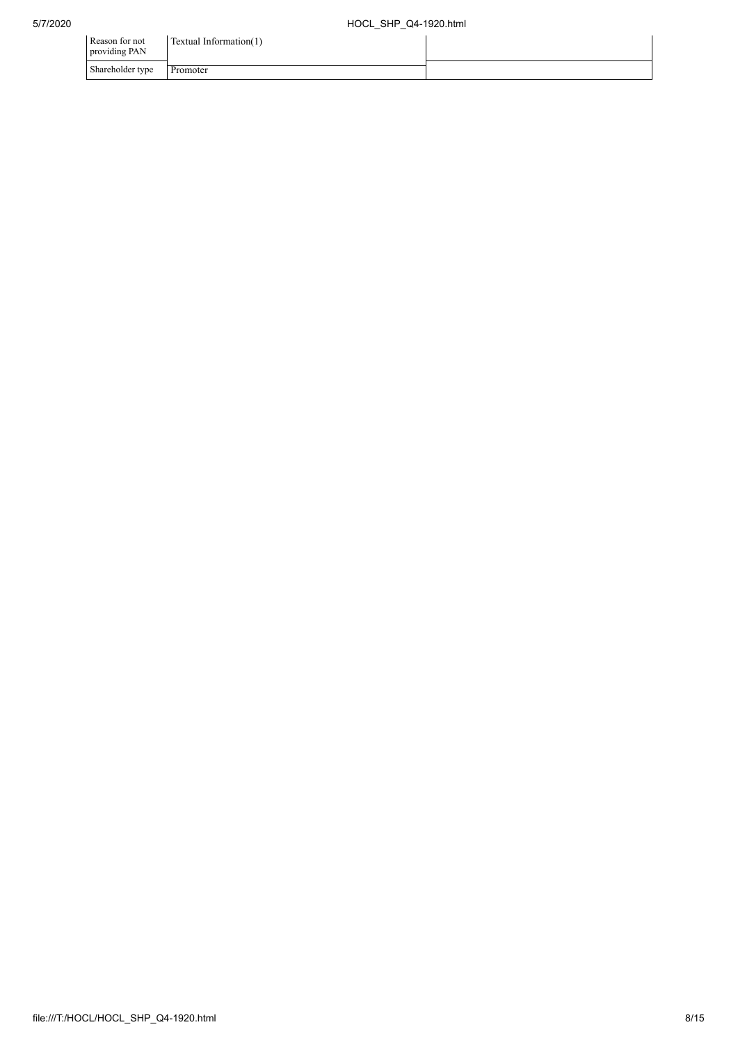| Reason for not<br>providing PAN | Textual Information(1) |  |
|---------------------------------|------------------------|--|
| Shareholder type                | Promoter               |  |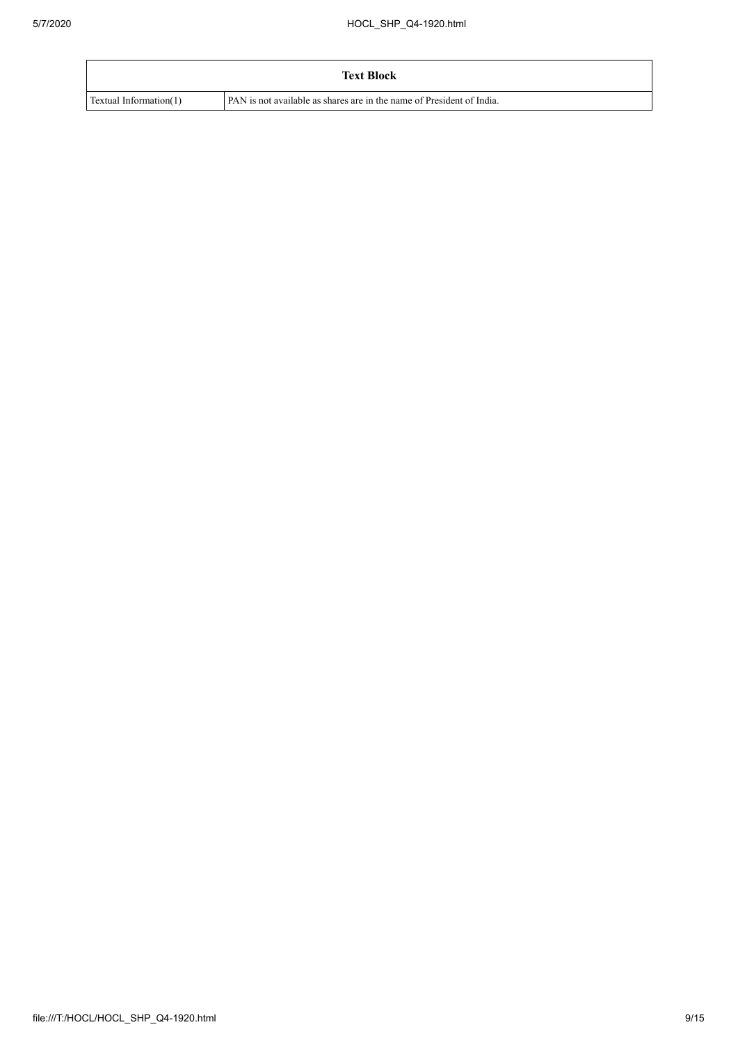|                        | <b>Text Block</b>                                                     |
|------------------------|-----------------------------------------------------------------------|
| Textual Information(1) | PAN is not available as shares are in the name of President of India. |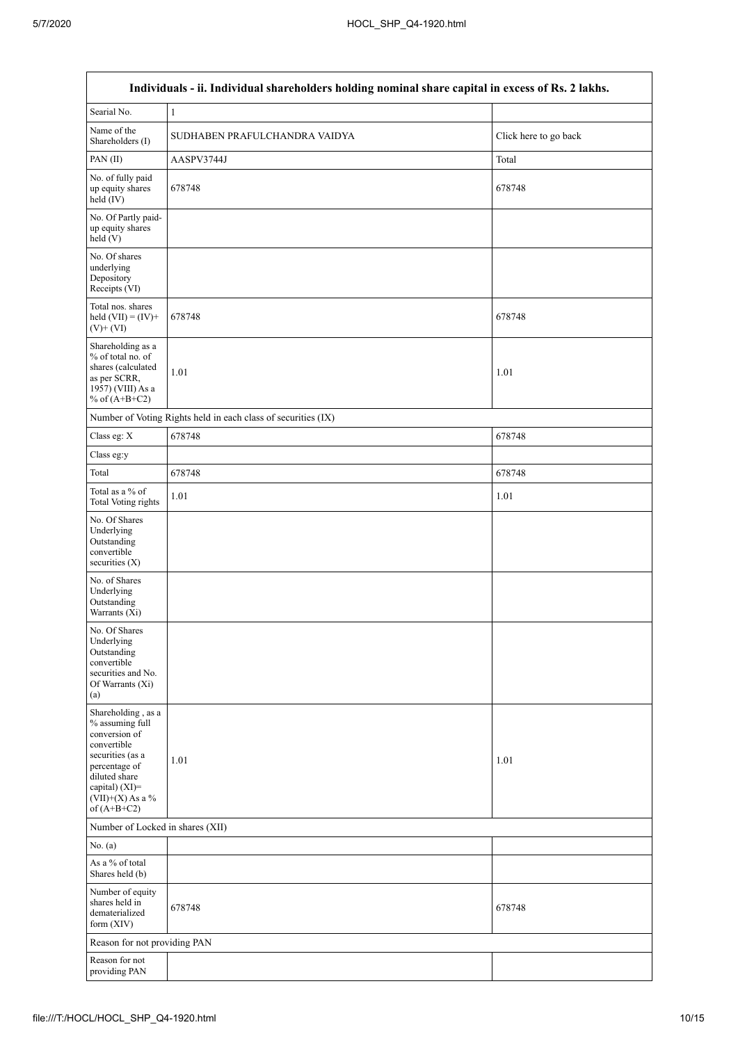|                                                                                                                                                                                      | Individuals - ii. Individual shareholders holding nominal share capital in excess of Rs. 2 lakhs. |                       |
|--------------------------------------------------------------------------------------------------------------------------------------------------------------------------------------|---------------------------------------------------------------------------------------------------|-----------------------|
| Searial No.                                                                                                                                                                          | $\mathbf{1}$                                                                                      |                       |
| Name of the<br>Shareholders (I)                                                                                                                                                      | SUDHABEN PRAFULCHANDRA VAIDYA                                                                     | Click here to go back |
| PAN(II)                                                                                                                                                                              | AASPV3744J                                                                                        | Total                 |
| No. of fully paid<br>up equity shares<br>held (IV)                                                                                                                                   | 678748                                                                                            | 678748                |
| No. Of Partly paid-<br>up equity shares<br>held (V)                                                                                                                                  |                                                                                                   |                       |
| No. Of shares<br>underlying<br>Depository<br>Receipts (VI)                                                                                                                           |                                                                                                   |                       |
| Total nos. shares<br>held $(VII) = (IV) +$<br>$(V)$ + $(VI)$                                                                                                                         | 678748                                                                                            | 678748                |
| Shareholding as a<br>% of total no. of<br>shares (calculated<br>as per SCRR,<br>1957) (VIII) As a<br>% of $(A+B+C2)$                                                                 | 1.01                                                                                              | 1.01                  |
|                                                                                                                                                                                      | Number of Voting Rights held in each class of securities (IX)                                     |                       |
| Class eg: X                                                                                                                                                                          | 678748                                                                                            | 678748                |
| Class eg:y                                                                                                                                                                           |                                                                                                   |                       |
| Total                                                                                                                                                                                | 678748                                                                                            | 678748                |
| Total as a % of<br><b>Total Voting rights</b>                                                                                                                                        | 1.01                                                                                              | $1.01\,$              |
| No. Of Shares<br>Underlying<br>Outstanding<br>convertible<br>securities (X)                                                                                                          |                                                                                                   |                       |
| No. of Shares<br>Underlying<br>Outstanding<br>Warrants (Xi)                                                                                                                          |                                                                                                   |                       |
| No. Of Shares<br>Underlying<br>Outstanding<br>convertible<br>securities and No.<br>Of Warrants (Xi)<br>(a)                                                                           |                                                                                                   |                       |
| Shareholding, as a<br>% assuming full<br>conversion of<br>convertible<br>securities (as a<br>percentage of<br>diluted share<br>capital) (XI)=<br>$(VII)+(X)$ As a %<br>of $(A+B+C2)$ | 1.01                                                                                              | 1.01                  |
| Number of Locked in shares (XII)                                                                                                                                                     |                                                                                                   |                       |
| No. (a)                                                                                                                                                                              |                                                                                                   |                       |
| As a % of total<br>Shares held (b)                                                                                                                                                   |                                                                                                   |                       |
| Number of equity<br>shares held in<br>dematerialized<br>form (XIV)                                                                                                                   | 678748                                                                                            | 678748                |
| Reason for not providing PAN                                                                                                                                                         |                                                                                                   |                       |
| Reason for not<br>providing PAN                                                                                                                                                      |                                                                                                   |                       |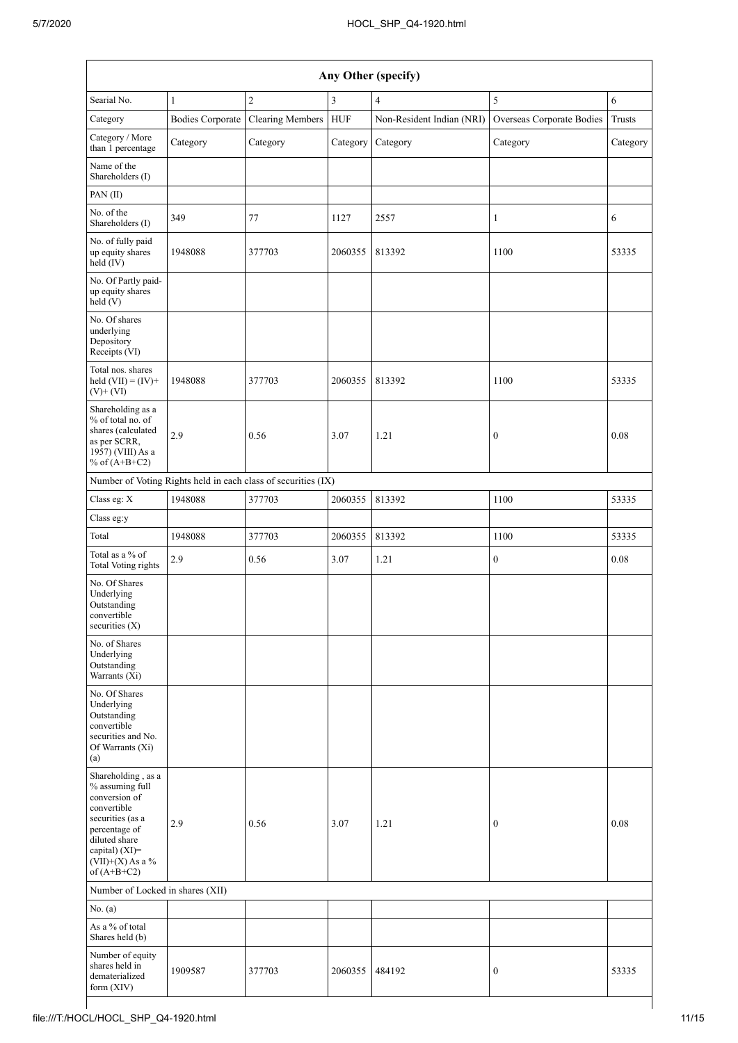|                                                                                                                                                                                         | Any Other (specify)     |                                                               |            |                           |                           |          |  |  |  |  |  |  |
|-----------------------------------------------------------------------------------------------------------------------------------------------------------------------------------------|-------------------------|---------------------------------------------------------------|------------|---------------------------|---------------------------|----------|--|--|--|--|--|--|
| Searial No.                                                                                                                                                                             | $\mathbf{1}$            | $\overline{2}$                                                | 3          | $\overline{4}$            | 5                         | 6        |  |  |  |  |  |  |
| Category                                                                                                                                                                                | <b>Bodies Corporate</b> | <b>Clearing Members</b>                                       | <b>HUF</b> | Non-Resident Indian (NRI) | Overseas Corporate Bodies | Trusts   |  |  |  |  |  |  |
| Category / More<br>than 1 percentage                                                                                                                                                    | Category                | Category                                                      | Category   | Category                  | Category                  | Category |  |  |  |  |  |  |
| Name of the<br>Shareholders (I)                                                                                                                                                         |                         |                                                               |            |                           |                           |          |  |  |  |  |  |  |
| PAN(II)                                                                                                                                                                                 |                         |                                                               |            |                           |                           |          |  |  |  |  |  |  |
| No. of the<br>Shareholders (I)                                                                                                                                                          | 349                     | 77                                                            | 1127       | 2557                      | 1                         | 6        |  |  |  |  |  |  |
| No. of fully paid<br>up equity shares<br>held (IV)                                                                                                                                      | 1948088                 | 377703                                                        | 2060355    | 813392                    | 1100                      | 53335    |  |  |  |  |  |  |
| No. Of Partly paid-<br>up equity shares<br>held (V)                                                                                                                                     |                         |                                                               |            |                           |                           |          |  |  |  |  |  |  |
| No. Of shares<br>underlying<br>Depository<br>Receipts (VI)                                                                                                                              |                         |                                                               |            |                           |                           |          |  |  |  |  |  |  |
| Total nos. shares<br>held $(VII) = (IV) +$<br>$(V)+(VI)$                                                                                                                                | 1948088                 | 377703                                                        | 2060355    | 813392                    | 1100                      | 53335    |  |  |  |  |  |  |
| Shareholding as a<br>% of total no. of<br>shares (calculated<br>as per SCRR,<br>1957) (VIII) As a<br>% of $(A+B+C2)$                                                                    | 2.9                     | 0.56                                                          | 3.07       | 1.21                      | $\boldsymbol{0}$          | 0.08     |  |  |  |  |  |  |
|                                                                                                                                                                                         |                         | Number of Voting Rights held in each class of securities (IX) |            |                           |                           |          |  |  |  |  |  |  |
| Class eg: X                                                                                                                                                                             | 1948088                 | 377703                                                        | 2060355    | 813392                    | 1100                      | 53335    |  |  |  |  |  |  |
| Class eg:y                                                                                                                                                                              |                         |                                                               |            |                           |                           |          |  |  |  |  |  |  |
| Total                                                                                                                                                                                   | 1948088                 | 377703                                                        | 2060355    | 813392                    | 1100                      | 53335    |  |  |  |  |  |  |
| Total as a % of<br><b>Total Voting rights</b>                                                                                                                                           | 2.9                     | 0.56                                                          | 3.07       | 1.21                      | $\boldsymbol{0}$          | $0.08\,$ |  |  |  |  |  |  |
| No. Of Shares<br>Underlying<br>Outstanding<br>convertible<br>securities $(X)$                                                                                                           |                         |                                                               |            |                           |                           |          |  |  |  |  |  |  |
| No. of Shares<br>Underlying<br>Outstanding<br>Warrants (Xi)                                                                                                                             |                         |                                                               |            |                           |                           |          |  |  |  |  |  |  |
| No. Of Shares<br>Underlying<br>Outstanding<br>convertible<br>securities and No.<br>Of Warrants (Xi)<br>(a)                                                                              |                         |                                                               |            |                           |                           |          |  |  |  |  |  |  |
| Shareholding, as a<br>% assuming full<br>conversion of<br>convertible<br>securities (as a<br>percentage of<br>diluted share<br>capital) $(XI)$ =<br>$(VII)+(X)$ As a %<br>of $(A+B+C2)$ | 2.9                     | 0.56                                                          | 3.07       | 1.21                      | $\boldsymbol{0}$          | 0.08     |  |  |  |  |  |  |
| Number of Locked in shares (XII)                                                                                                                                                        |                         |                                                               |            |                           |                           |          |  |  |  |  |  |  |
| No. $(a)$                                                                                                                                                                               |                         |                                                               |            |                           |                           |          |  |  |  |  |  |  |
| As a % of total<br>Shares held (b)                                                                                                                                                      |                         |                                                               |            |                           |                           |          |  |  |  |  |  |  |
| Number of equity<br>shares held in<br>dematerialized<br>form (XIV)                                                                                                                      | 1909587                 | 377703                                                        | 2060355    | 484192                    | 0                         | 53335    |  |  |  |  |  |  |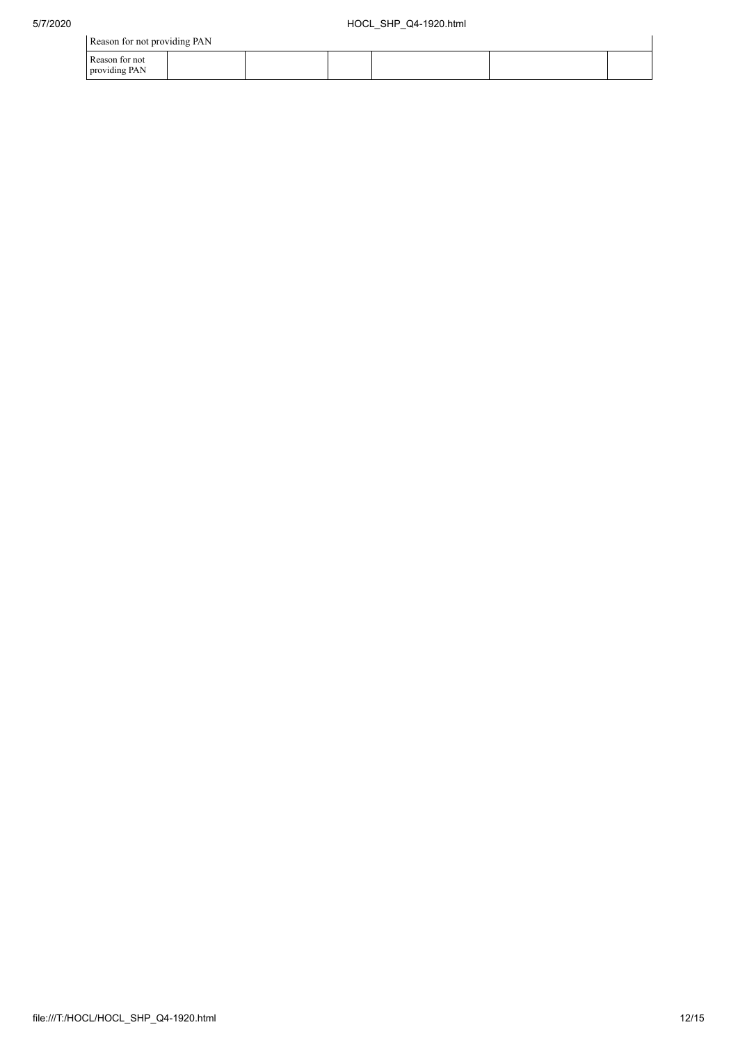| Reason for not providing PAN    |  |  |  |  |  |  |  |
|---------------------------------|--|--|--|--|--|--|--|
| Reason for not<br>providing PAN |  |  |  |  |  |  |  |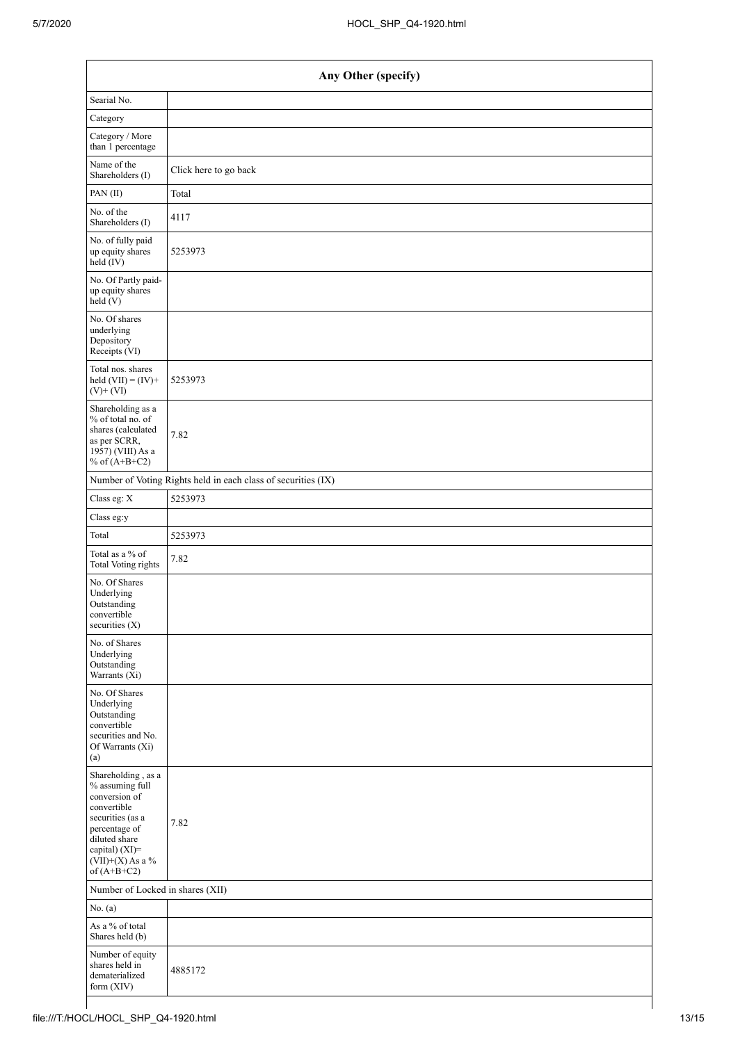| Any Other (specify)                                                                                                                                                                  |                       |
|--------------------------------------------------------------------------------------------------------------------------------------------------------------------------------------|-----------------------|
| Searial No.                                                                                                                                                                          |                       |
| Category                                                                                                                                                                             |                       |
| Category / More<br>than 1 percentage                                                                                                                                                 |                       |
| Name of the<br>Shareholders (I)                                                                                                                                                      | Click here to go back |
| PAN(II)                                                                                                                                                                              | Total                 |
| No. of the<br>Shareholders (I)                                                                                                                                                       | 4117                  |
| No. of fully paid<br>up equity shares<br>held (IV)                                                                                                                                   | 5253973               |
| No. Of Partly paid-<br>up equity shares<br>held (V)                                                                                                                                  |                       |
| No. Of shares<br>underlying<br>Depository<br>Receipts (VI)                                                                                                                           |                       |
| Total nos. shares<br>held $(VII) = (IV) +$<br>$(V)$ + $(VI)$                                                                                                                         | 5253973               |
| Shareholding as a<br>% of total no. of<br>shares (calculated<br>as per SCRR,<br>1957) (VIII) As a<br>% of $(A+B+C2)$                                                                 | 7.82                  |
| Number of Voting Rights held in each class of securities (IX)                                                                                                                        |                       |
| Class eg: X                                                                                                                                                                          | 5253973               |
| Class eg:y                                                                                                                                                                           |                       |
| Total                                                                                                                                                                                | 5253973               |
| Total as a % of<br><b>Total Voting rights</b>                                                                                                                                        | 7.82                  |
| No. Of Shares<br>Underlying<br>Outstanding<br>convertible<br>securities (X)                                                                                                          |                       |
| No. of Shares<br>Underlying<br>Outstanding<br>Warrants (Xi)                                                                                                                          |                       |
| No. Of Shares<br>Underlying<br>Outstanding<br>convertible<br>securities and No.<br>Of Warrants (Xi)<br>(a)                                                                           |                       |
| Shareholding, as a<br>% assuming full<br>conversion of<br>convertible<br>securities (as a<br>percentage of<br>diluted share<br>capital) (XI)=<br>$(VII)+(X)$ As a %<br>of $(A+B+C2)$ | 7.82                  |
| Number of Locked in shares (XII)                                                                                                                                                     |                       |
| No. $(a)$                                                                                                                                                                            |                       |
| As a % of total<br>Shares held (b)                                                                                                                                                   |                       |
| Number of equity<br>shares held in<br>dematerialized<br>form (XIV)                                                                                                                   | 4885172               |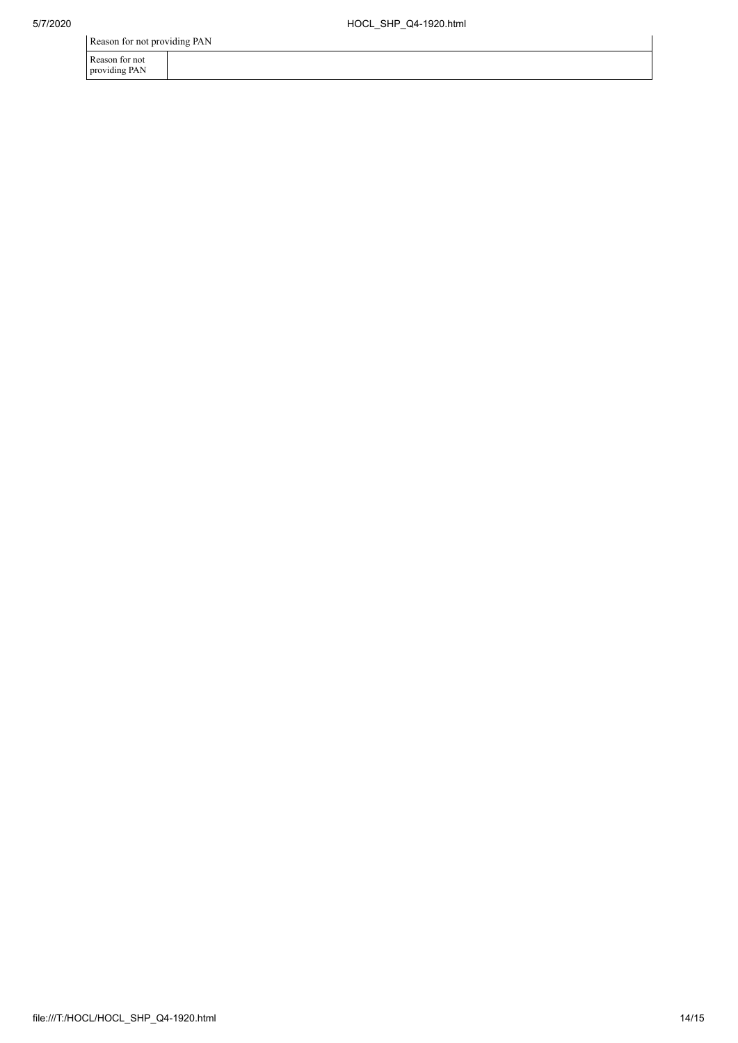Reason for not

providing PAN